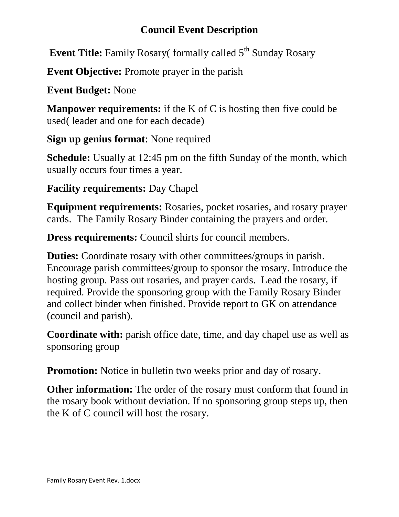## **Council Event Description**

**Event Title:** Family Rosary( formally called 5<sup>th</sup> Sunday Rosary

**Event Objective:** Promote prayer in the parish

**Event Budget:** None

**Manpower requirements:** if the K of C is hosting then five could be used( leader and one for each decade)

**Sign up genius format**: None required

**Schedule:** Usually at 12:45 pm on the fifth Sunday of the month, which usually occurs four times a year.

**Facility requirements:** Day Chapel

**Equipment requirements:** Rosaries, pocket rosaries, and rosary prayer cards. The Family Rosary Binder containing the prayers and order.

**Dress requirements:** Council shirts for council members.

**Duties:** Coordinate rosary with other committees/groups in parish. Encourage parish committees/group to sponsor the rosary. Introduce the hosting group. Pass out rosaries, and prayer cards. Lead the rosary, if required. Provide the sponsoring group with the Family Rosary Binder and collect binder when finished. Provide report to GK on attendance (council and parish).

**Coordinate with:** parish office date, time, and day chapel use as well as sponsoring group

**Promotion:** Notice in bulletin two weeks prior and day of rosary.

**Other information:** The order of the rosary must conform that found in the rosary book without deviation. If no sponsoring group steps up, then the K of C council will host the rosary.